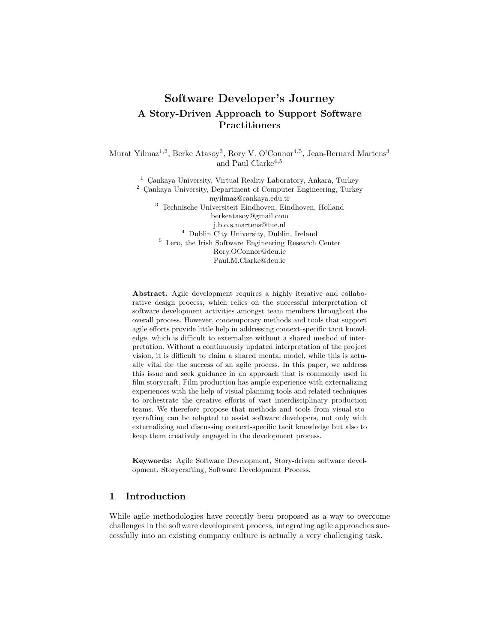# Software Developer's Journey A Story-Driven Approach to Support Software Practitioners

Murat Yilmaz<sup>1,2</sup>, Berke Atasoy<sup>3</sup>, Rory V. O'Connor<sup>4,5</sup>, Jean-Bernard Martens<sup>3</sup> and Paul Clarke $^{4,5}$ 

 $1$  Cankaya University, Virtual Reality Laboratory, Ankara, Turkey  $2$  Cankaya University, Department of Computer Engineering, Turkey myilmaz@cankaya.edu.tr <sup>3</sup> Technische Universiteit Eindhoven, Eindhoven, Holland berkeatasoy@gmail.com j.b.o.s.martens@tue.nl <sup>4</sup> Dublin City University, Dublin, Ireland <sup>5</sup> Lero, the Irish Software Engineering Research Center Rory.OConnor@dcu.ie Paul.M.Clarke@dcu.ie

Abstract. Agile development requires a highly iterative and collaborative design process, which relies on the successful interpretation of software development activities amongst team members throughout the overall process. However, contemporary methods and tools that support agile efforts provide little help in addressing context-specific tacit knowledge, which is difficult to externalize without a shared method of interpretation. Without a continuously updated interpretation of the project vision, it is difficult to claim a shared mental model, while this is actually vital for the success of an agile process. In this paper, we address this issue and seek guidance in an approach that is commonly used in film storycraft. Film production has ample experience with externalizing experiences with the help of visual planning tools and related techniques to orchestrate the creative efforts of vast interdisciplinary production teams. We therefore propose that methods and tools from visual storycrafting can be adapted to assist software developers, not only with externalizing and discussing context-specific tacit knowledge but also to keep them creatively engaged in the development process.

Keywords: Agile Software Development, Story-driven software development, Storycrafting, Software Development Process.

# 1 Introduction

While agile methodologies have recently been proposed as a way to overcome challenges in the software development process, integrating agile approaches successfully into an existing company culture is actually a very challenging task.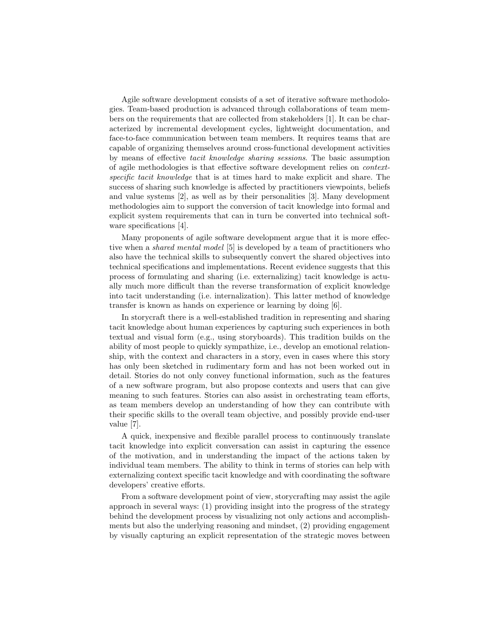Agile software development consists of a set of iterative software methodologies. Team-based production is advanced through collaborations of team members on the requirements that are collected from stakeholders [1]. It can be characterized by incremental development cycles, lightweight documentation, and face-to-face communication between team members. It requires teams that are capable of organizing themselves around cross-functional development activities by means of effective tacit knowledge sharing sessions. The basic assumption of agile methodologies is that effective software development relies on contextspecific tacit knowledge that is at times hard to make explicit and share. The success of sharing such knowledge is affected by practitioners viewpoints, beliefs and value systems [2], as well as by their personalities [3]. Many development methodologies aim to support the conversion of tacit knowledge into formal and explicit system requirements that can in turn be converted into technical software specifications [4].

Many proponents of agile software development argue that it is more effective when a shared mental model [5] is developed by a team of practitioners who also have the technical skills to subsequently convert the shared objectives into technical specifications and implementations. Recent evidence suggests that this process of formulating and sharing (i.e. externalizing) tacit knowledge is actually much more difficult than the reverse transformation of explicit knowledge into tacit understanding (i.e. internalization). This latter method of knowledge transfer is known as hands on experience or learning by doing [6].

In storycraft there is a well-established tradition in representing and sharing tacit knowledge about human experiences by capturing such experiences in both textual and visual form (e.g., using storyboards). This tradition builds on the ability of most people to quickly sympathize, i.e., develop an emotional relationship, with the context and characters in a story, even in cases where this story has only been sketched in rudimentary form and has not been worked out in detail. Stories do not only convey functional information, such as the features of a new software program, but also propose contexts and users that can give meaning to such features. Stories can also assist in orchestrating team efforts, as team members develop an understanding of how they can contribute with their specific skills to the overall team objective, and possibly provide end-user value [7].

A quick, inexpensive and flexible parallel process to continuously translate tacit knowledge into explicit conversation can assist in capturing the essence of the motivation, and in understanding the impact of the actions taken by individual team members. The ability to think in terms of stories can help with externalizing context specific tacit knowledge and with coordinating the software developers' creative efforts.

From a software development point of view, storycrafting may assist the agile approach in several ways: (1) providing insight into the progress of the strategy behind the development process by visualizing not only actions and accomplishments but also the underlying reasoning and mindset, (2) providing engagement by visually capturing an explicit representation of the strategic moves between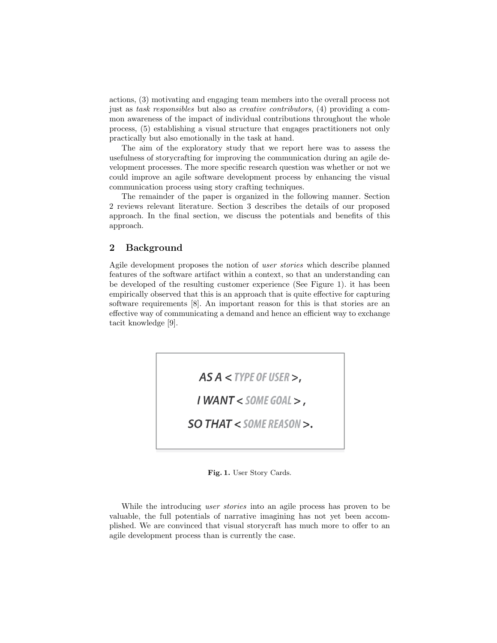actions, (3) motivating and engaging team members into the overall process not just as task responsibles but also as creative contributors, (4) providing a common awareness of the impact of individual contributions throughout the whole process, (5) establishing a visual structure that engages practitioners not only practically but also emotionally in the task at hand.

The aim of the exploratory study that we report here was to assess the usefulness of storycrafting for improving the communication during an agile development processes. The more specific research question was whether or not we could improve an agile software development process by enhancing the visual communication process using story crafting techniques.

The remainder of the paper is organized in the following manner. Section 2 reviews relevant literature. Section 3 describes the details of our proposed approach. In the final section, we discuss the potentials and benefits of this approach.

# 2 Background

Agile development proposes the notion of user stories which describe planned features of the software artifact within a context, so that an understanding can be developed of the resulting customer experience (See Figure 1). it has been empirically observed that this is an approach that is quite effective for capturing software requirements [8]. An important reason for this is that stories are an effective way of communicating a demand and hence an efficient way to exchange tacit knowledge [9].



Fig. 1. User Story Cards.

While the introducing *user stories* into an agile process has proven to be valuable, the full potentials of narrative imagining has not yet been accomplished. We are convinced that visual storycraft has much more to offer to an agile development process than is currently the case.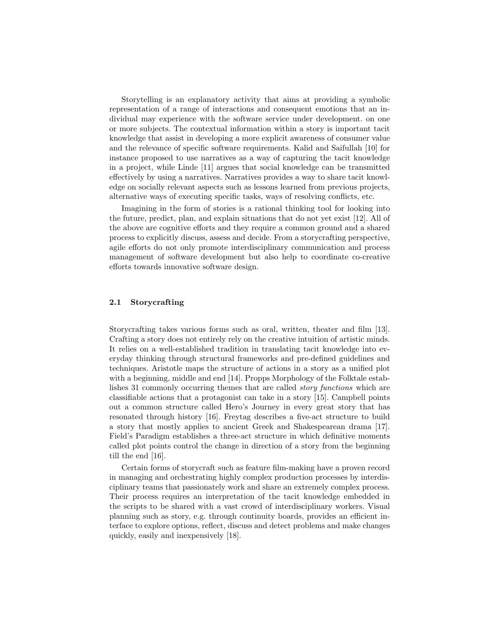Storytelling is an explanatory activity that aims at providing a symbolic representation of a range of interactions and consequent emotions that an individual may experience with the software service under development. on one or more subjects. The contextual information within a story is important tacit knowledge that assist in developing a more explicit awareness of consumer value and the relevance of specific software requirements. Kalid and Saifullah [10] for instance proposed to use narratives as a way of capturing the tacit knowledge in a project, while Linde [11] argues that social knowledge can be transmitted effectively by using a narratives. Narratives provides a way to share tacit knowledge on socially relevant aspects such as lessons learned from previous projects, alternative ways of executing specific tasks, ways of resolving conflicts, etc.

Imagining in the form of stories is a rational thinking tool for looking into the future, predict, plan, and explain situations that do not yet exist [12]. All of the above are cognitive efforts and they require a common ground and a shared process to explicitly discuss, assess and decide. From a storycrafting perspective, agile efforts do not only promote interdisciplinary communication and process management of software development but also help to coordinate co-creative efforts towards innovative software design.

#### 2.1 Storycrafting

Storycrafting takes various forms such as oral, written, theater and film [13]. Crafting a story does not entirely rely on the creative intuition of artistic minds. It relies on a well-established tradition in translating tacit knowledge into everyday thinking through structural frameworks and pre-defined guidelines and techniques. Aristotle maps the structure of actions in a story as a unified plot with a beginning, middle and end [14]. Propps Morphology of the Folktale establishes 31 commonly occurring themes that are called story functions which are classifiable actions that a protagonist can take in a story [15]. Campbell points out a common structure called Hero's Journey in every great story that has resonated through history [16]. Freytag describes a five-act structure to build a story that mostly applies to ancient Greek and Shakespearean drama [17]. Field's Paradigm establishes a three-act structure in which definitive moments called plot points control the change in direction of a story from the beginning till the end [16].

Certain forms of storycraft such as feature film-making have a proven record in managing and orchestrating highly complex production processes by interdisciplinary teams that passionately work and share an extremely complex process. Their process requires an interpretation of the tacit knowledge embedded in the scripts to be shared with a vast crowd of interdisciplinary workers. Visual planning such as story, e.g. through continuity boards, provides an efficient interface to explore options, reflect, discuss and detect problems and make changes quickly, easily and inexpensively [18].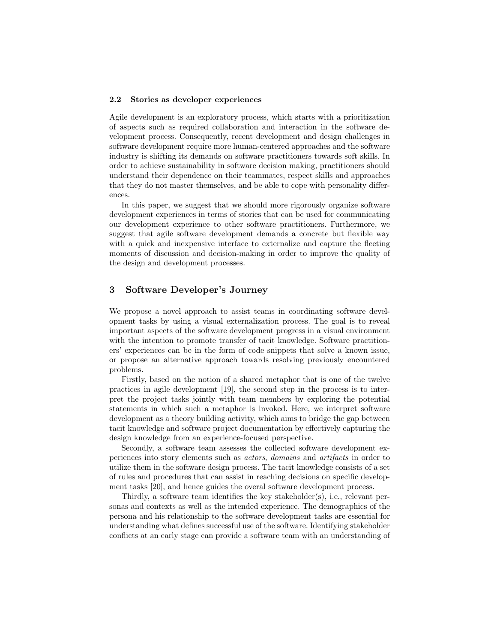#### 2.2 Stories as developer experiences

Agile development is an exploratory process, which starts with a prioritization of aspects such as required collaboration and interaction in the software development process. Consequently, recent development and design challenges in software development require more human-centered approaches and the software industry is shifting its demands on software practitioners towards soft skills. In order to achieve sustainability in software decision making, practitioners should understand their dependence on their teammates, respect skills and approaches that they do not master themselves, and be able to cope with personality differences.

In this paper, we suggest that we should more rigorously organize software development experiences in terms of stories that can be used for communicating our development experience to other software practitioners. Furthermore, we suggest that agile software development demands a concrete but flexible way with a quick and inexpensive interface to externalize and capture the fleeting moments of discussion and decision-making in order to improve the quality of the design and development processes.

# 3 Software Developer's Journey

We propose a novel approach to assist teams in coordinating software development tasks by using a visual externalization process. The goal is to reveal important aspects of the software development progress in a visual environment with the intention to promote transfer of tacit knowledge. Software practitioners' experiences can be in the form of code snippets that solve a known issue, or propose an alternative approach towards resolving previously encountered problems.

Firstly, based on the notion of a shared metaphor that is one of the twelve practices in agile development [19], the second step in the process is to interpret the project tasks jointly with team members by exploring the potential statements in which such a metaphor is invoked. Here, we interpret software development as a theory building activity, which aims to bridge the gap between tacit knowledge and software project documentation by effectively capturing the design knowledge from an experience-focused perspective.

Secondly, a software team assesses the collected software development experiences into story elements such as actors, domains and artifacts in order to utilize them in the software design process. The tacit knowledge consists of a set of rules and procedures that can assist in reaching decisions on specific development tasks [20], and hence guides the overal software development process.

Thirdly, a software team identifies the key stakeholder(s), i.e., relevant personas and contexts as well as the intended experience. The demographics of the persona and his relationship to the software development tasks are essential for understanding what defines successful use of the software. Identifying stakeholder conflicts at an early stage can provide a software team with an understanding of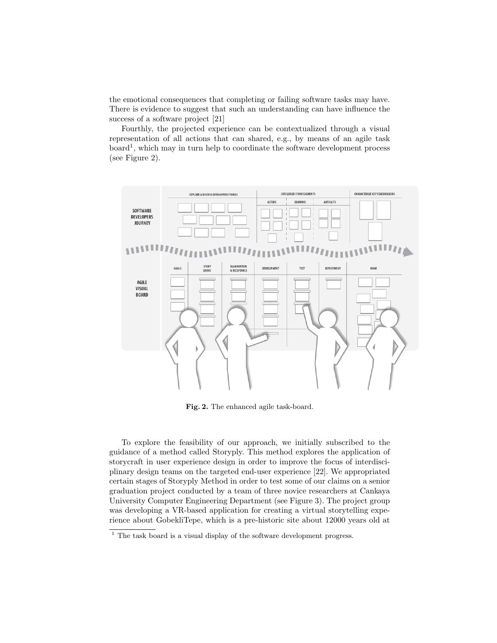the emotional consequences that completing or failing software tasks may have. There is evidence to suggest that such an understanding can have influence the success of a software project [21]

Fourthly, the projected experience can be contextualized through a visual representation of all actions that can shared, e.g., by means of an agile task board<sup>1</sup>, which may in turn help to coordinate the software development process (see Figure 2).



Fig. 2. The enhanced agile task-board.

To explore the feasibility of our approach, we initially subscribed to the guidance of a method called Storyply. This method explores the application of storycraft in user experience design in order to improve the focus of interdisciplinary design teams on the targeted end-user experience [22]. We appropriated certain stages of Storyply Method in order to test some of our claims on a senior graduation project conducted by a team of three novice researchers at Cankaya University Computer Engineering Department (see Figure 3). The project group was developing a VR-based application for creating a virtual storytelling experience about GobekliTepe, which is a pre-historic site about 12000 years old at

 $\overline{1}$  The task board is a visual display of the software development progress.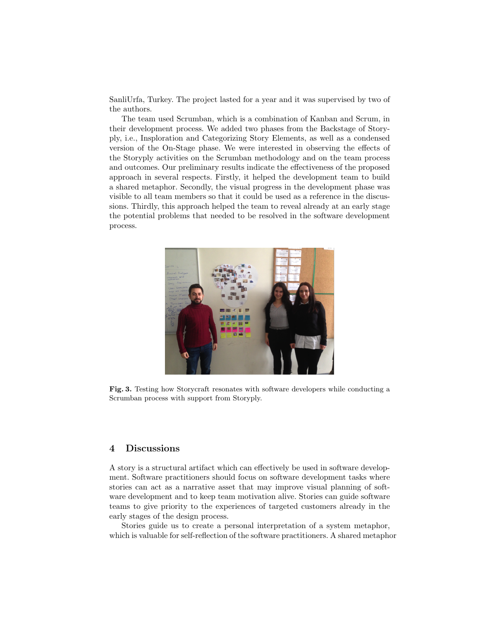SanliUrfa, Turkey. The project lasted for a year and it was supervised by two of the authors.

The team used Scrumban, which is a combination of Kanban and Scrum, in their development process. We added two phases from the Backstage of Storyply, i.e., Insploration and Categorizing Story Elements, as well as a condensed version of the On-Stage phase. We were interested in observing the effects of the Storyply activities on the Scrumban methodology and on the team process and outcomes. Our preliminary results indicate the effectiveness of the proposed approach in several respects. Firstly, it helped the development team to build a shared metaphor. Secondly, the visual progress in the development phase was visible to all team members so that it could be used as a reference in the discussions. Thirdly, this approach helped the team to reveal already at an early stage the potential problems that needed to be resolved in the software development process.



Fig. 3. Testing how Storycraft resonates with software developers while conducting a Scrumban process with support from Storyply.

# 4 Discussions

A story is a structural artifact which can effectively be used in software development. Software practitioners should focus on software development tasks where stories can act as a narrative asset that may improve visual planning of software development and to keep team motivation alive. Stories can guide software teams to give priority to the experiences of targeted customers already in the early stages of the design process.

Stories guide us to create a personal interpretation of a system metaphor, which is valuable for self-reflection of the software practitioners. A shared metaphor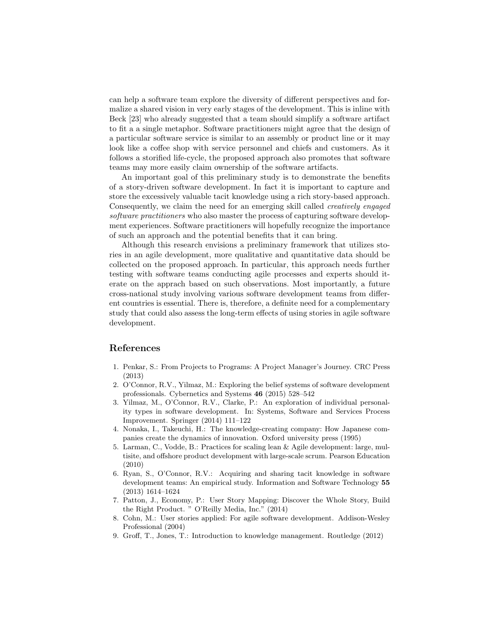can help a software team explore the diversity of different perspectives and formalize a shared vision in very early stages of the development. This is inline with Beck [23] who already suggested that a team should simplify a software artifact to fit a a single metaphor. Software practitioners might agree that the design of a particular software service is similar to an assembly or product line or it may look like a coffee shop with service personnel and chiefs and customers. As it follows a storified life-cycle, the proposed approach also promotes that software teams may more easily claim ownership of the software artifacts.

An important goal of this preliminary study is to demonstrate the benefits of a story-driven software development. In fact it is important to capture and store the excessively valuable tacit knowledge using a rich story-based approach. Consequently, we claim the need for an emerging skill called creatively engaged software practitioners who also master the process of capturing software development experiences. Software practitioners will hopefully recognize the importance of such an approach and the potential benefits that it can bring.

Although this research envisions a preliminary framework that utilizes stories in an agile development, more qualitative and quantitative data should be collected on the proposed approach. In particular, this approach needs further testing with software teams conducting agile processes and experts should iterate on the apprach based on such observations. Most importantly, a future cross-national study involving various software development teams from different countries is essential. There is, therefore, a definite need for a complementary study that could also assess the long-term effects of using stories in agile software development.

### References

- 1. Penkar, S.: From Projects to Programs: A Project Manager's Journey. CRC Press (2013)
- 2. O'Connor, R.V., Yilmaz, M.: Exploring the belief systems of software development professionals. Cybernetics and Systems 46 (2015) 528–542
- 3. Yilmaz, M., O'Connor, R.V., Clarke, P.: An exploration of individual personality types in software development. In: Systems, Software and Services Process Improvement. Springer (2014) 111–122
- 4. Nonaka, I., Takeuchi, H.: The knowledge-creating company: How Japanese companies create the dynamics of innovation. Oxford university press (1995)
- 5. Larman, C., Vodde, B.: Practices for scaling lean & Agile development: large, multisite, and offshore product development with large-scale scrum. Pearson Education (2010)
- 6. Ryan, S., O'Connor, R.V.: Acquiring and sharing tacit knowledge in software development teams: An empirical study. Information and Software Technology 55 (2013) 1614–1624
- 7. Patton, J., Economy, P.: User Story Mapping: Discover the Whole Story, Build the Right Product. " O'Reilly Media, Inc." (2014)
- 8. Cohn, M.: User stories applied: For agile software development. Addison-Wesley Professional (2004)
- 9. Groff, T., Jones, T.: Introduction to knowledge management. Routledge (2012)